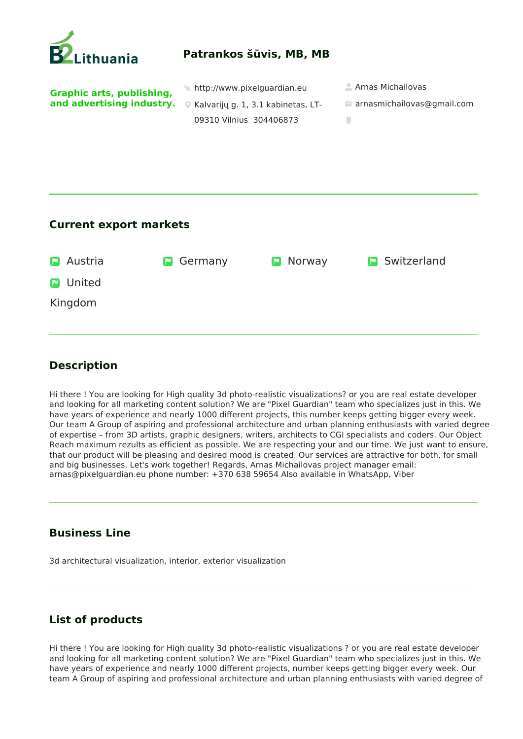

## **Current export markets**

| <b>D</b> Austria | <b>D</b> Germany | <b>D</b> Norway | <b>P</b> Switzerland |
|------------------|------------------|-----------------|----------------------|
| <b>D</b> United  |                  |                 |                      |
| Kingdom          |                  |                 |                      |
|                  |                  |                 |                      |

## **Description**

Hi there ! You are looking for High quality 3d photo-realistic visualizations? or you are real estate developer and looking for all marketing content solution? We are "Pixel Guardian" team who specializes just in this. We have years of experience and nearly 1000 different projects, this number keeps getting bigger every week. Our team A Group of aspiring and professional architecture and urban planning enthusiasts with varied degree of expertise – from 3D artists, graphic designers, writers, architects to CGI specialists and coders. Our Object Reach maximum rezults as efficient as possible. We are respecting your and our time. We just want to ensure, that our product will be pleasing and desired mood is created. Our services are attractive for both, for small and big businesses. Let's work together! Regards, Arnas Michailovas project manager email: arnas@pixelguardian.eu phone number: +370 638 59654 Also available in WhatsApp, Viber

## **Business Line**

3d architectural visualization, interior, exterior visualization

## **List of products**

Hi there ! You are looking for High quality 3d photo-realistic visualizations ? or you are real estate developer and looking for all marketing content solution? We are "Pixel Guardian" team who specializes just in this. We have years of experience and nearly 1000 different projects, number keeps getting bigger every week. Our team A Group of aspiring and professional architecture and urban planning enthusiasts with varied degree of